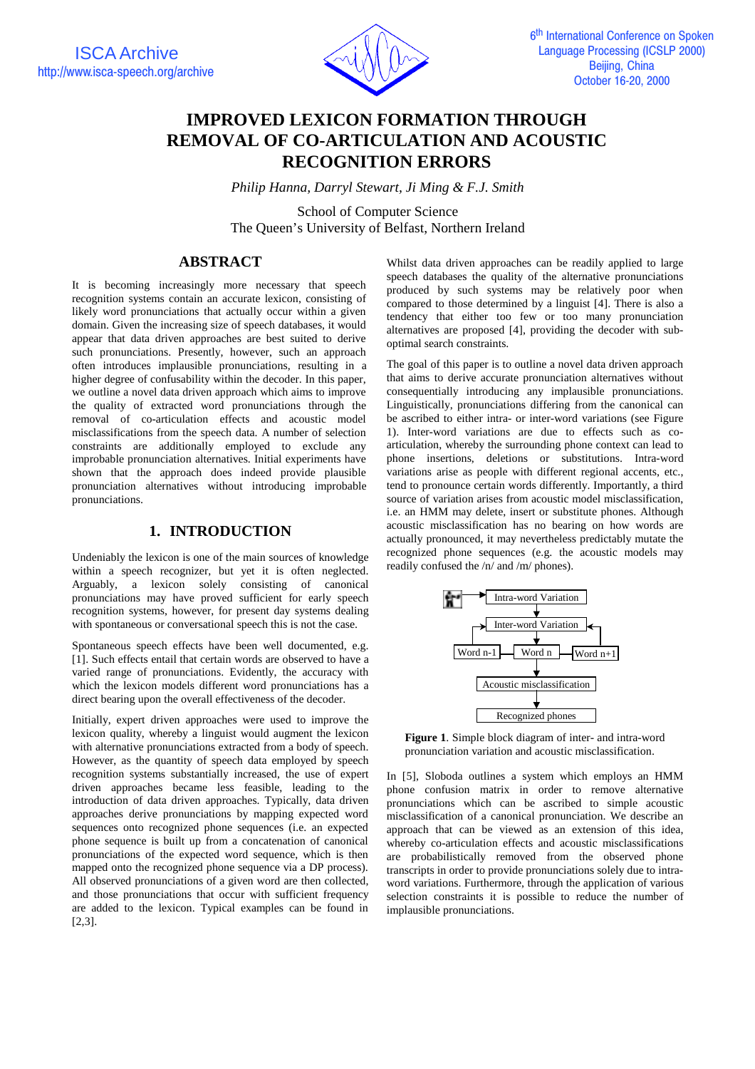

# **IMPROVED LEXICON FORMATION THROUGH REMOVAL OF CO-ARTICULATION AND ACOUSTIC RECOGNITION ERRORS**

*Philip Hanna, Darryl Stewart, Ji Ming & F.J. Smith*

School of Computer Science The Queen's University of Belfast, Northern Ireland

#### **ABSTRACT**

It is becoming increasingly more necessary that speech recognition systems contain an accurate lexicon, consisting of likely word pronunciations that actually occur within a given domain. Given the increasing size of speech databases, it would appear that data driven approaches are best suited to derive such pronunciations. Presently, however, such an approach often introduces implausible pronunciations, resulting in a higher degree of confusability within the decoder. In this paper, we outline a novel data driven approach which aims to improve the quality of extracted word pronunciations through the removal of co-articulation effects and acoustic model misclassifications from the speech data. A number of selection constraints are additionally employed to exclude any improbable pronunciation alternatives. Initial experiments have shown that the approach does indeed provide plausible pronunciation alternatives without introducing improbable pronunciations.

#### **1. INTRODUCTION**

Undeniably the lexicon is one of the main sources of knowledge within a speech recognizer, but yet it is often neglected. Arguably, a lexicon solely consisting of canonical pronunciations may have proved sufficient for early speech recognition systems, however, for present day systems dealing with spontaneous or conversational speech this is not the case.

Spontaneous speech effects have been well documented, e.g. [1]. Such effects entail that certain words are observed to have a varied range of pronunciations. Evidently, the accuracy with which the lexicon models different word pronunciations has a direct bearing upon the overall effectiveness of the decoder.

Initially, expert driven approaches were used to improve the lexicon quality, whereby a linguist would augment the lexicon with alternative pronunciations extracted from a body of speech. However, as the quantity of speech data employed by speech recognition systems substantially increased, the use of expert driven approaches became less feasible, leading to the introduction of data driven approaches. Typically, data driven approaches derive pronunciations by mapping expected word sequences onto recognized phone sequences (i.e. an expected phone sequence is built up from a concatenation of canonical pronunciations of the expected word sequence, which is then mapped onto the recognized phone sequence via a DP process). All observed pronunciations of a given word are then collected, and those pronunciations that occur with sufficient frequency are added to the lexicon. Typical examples can be found in [2,3].

Whilst data driven approaches can be readily applied to large speech databases the quality of the alternative pronunciations produced by such systems may be relatively poor when compared to those determined by a linguist [4]. There is also a tendency that either too few or too many pronunciation alternatives are proposed [4], providing the decoder with suboptimal search constraints.

The goal of this paper is to outline a novel data driven approach that aims to derive accurate pronunciation alternatives without consequentially introducing any implausible pronunciations. Linguistically, pronunciations differing from the canonical can be ascribed to either intra- or inter-word variations (see Figure 1). Inter-word variations are due to effects such as coarticulation, whereby the surrounding phone context can lead to phone insertions, deletions or substitutions. Intra-word variations arise as people with different regional accents, etc., tend to pronounce certain words differently. Importantly, a third source of variation arises from acoustic model misclassification, i.e. an HMM may delete, insert or substitute phones. Although acoustic misclassification has no bearing on how words are actually pronounced, it may nevertheless predictably mutate the recognized phone sequences (e.g. the acoustic models may readily confused the /n/ and /m/ phones).



**Figure 1**. Simple block diagram of inter- and intra-word pronunciation variation and acoustic misclassification.

In [5], Sloboda outlines a system which employs an HMM phone confusion matrix in order to remove alternative pronunciations which can be ascribed to simple acoustic misclassification of a canonical pronunciation. We describe an approach that can be viewed as an extension of this idea, whereby co-articulation effects and acoustic misclassifications are probabilistically removed from the observed phone transcripts in order to provide pronunciations solely due to intraword variations. Furthermore, through the application of various selection constraints it is possible to reduce the number of implausible pronunciations.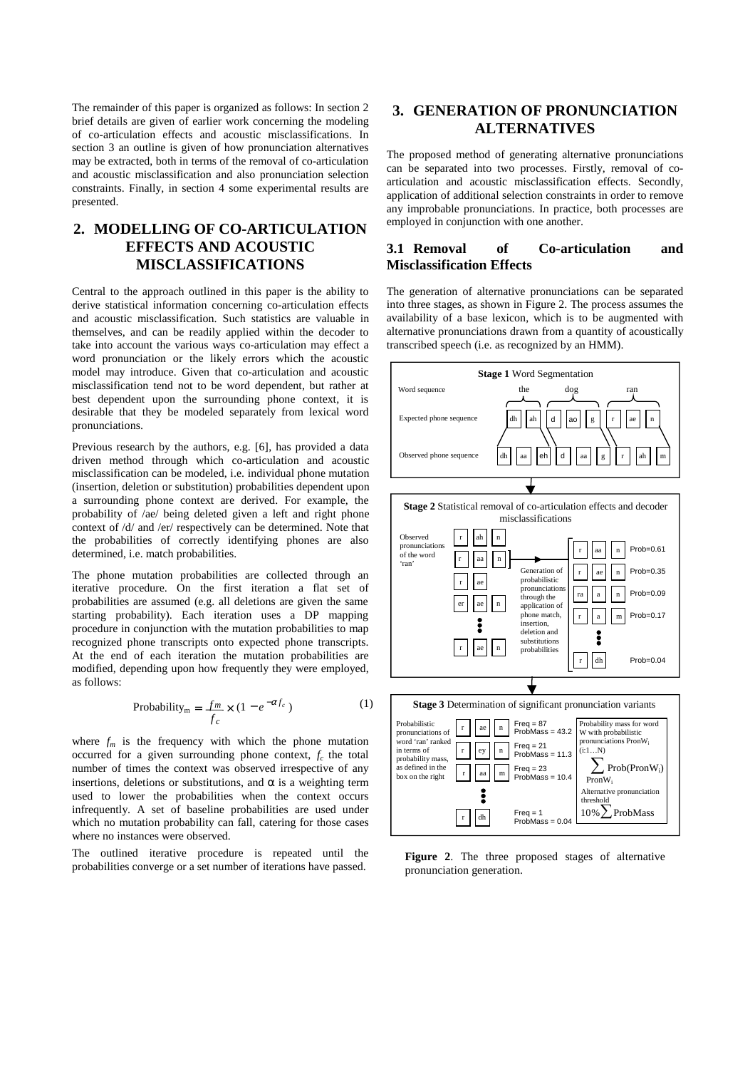The remainder of this paper is organized as follows: In section 2 brief details are given of earlier work concerning the modeling of co-articulation effects and acoustic misclassifications. In section 3 an outline is given of how pronunciation alternatives may be extracted, both in terms of the removal of co-articulation and acoustic misclassification and also pronunciation selection constraints. Finally, in section 4 some experimental results are presented.

## **2. MODELLING OF CO-ARTICULATION EFFECTS AND ACOUSTIC MISCLASSIFICATIONS**

Central to the approach outlined in this paper is the ability to derive statistical information concerning co-articulation effects and acoustic misclassification. Such statistics are valuable in themselves, and can be readily applied within the decoder to take into account the various ways co-articulation may effect a word pronunciation or the likely errors which the acoustic model may introduce. Given that co-articulation and acoustic misclassification tend not to be word dependent, but rather at best dependent upon the surrounding phone context, it is desirable that they be modeled separately from lexical word pronunciations.

Previous research by the authors, e.g. [6], has provided a data driven method through which co-articulation and acoustic misclassification can be modeled, i.e. individual phone mutation (insertion, deletion or substitution) probabilities dependent upon a surrounding phone context are derived. For example, the probability of /ae/ being deleted given a left and right phone context of /d/ and /er/ respectively can be determined. Note that the probabilities of correctly identifying phones are also determined, i.e. match probabilities.

The phone mutation probabilities are collected through an iterative procedure. On the first iteration a flat set of probabilities are assumed (e.g. all deletions are given the same starting probability). Each iteration uses a DP mapping procedure in conjunction with the mutation probabilities to map recognized phone transcripts onto expected phone transcripts. At the end of each iteration the mutation probabilities are modified, depending upon how frequently they were employed, as follows:

Probability<sub>m</sub> = 
$$
\frac{fm}{f_c} \times (1 - e^{-\alpha f_c})
$$
 (1)

where  $f_m$  is the frequency with which the phone mutation occurred for a given surrounding phone context,  $f_c$  the total number of times the context was observed irrespective of any insertions, deletions or substitutions, and  $\alpha$  is a weighting term used to lower the probabilities when the context occurs infrequently. A set of baseline probabilities are used under which no mutation probability can fall, catering for those cases where no instances were observed.

The outlined iterative procedure is repeated until the probabilities converge or a set number of iterations have passed.

### **3. GENERATION OF PRONUNCIATION ALTERNATIVES**

The proposed method of generating alternative pronunciations can be separated into two processes. Firstly, removal of coarticulation and acoustic misclassification effects. Secondly, application of additional selection constraints in order to remove any improbable pronunciations. In practice, both processes are employed in conjunction with one another.

#### **3.1 Removal of Co-articulation and Misclassification Effects**

The generation of alternative pronunciations can be separated into three stages, as shown in Figure 2. The process assumes the availability of a base lexicon, which is to be augmented with alternative pronunciations drawn from a quantity of acoustically transcribed speech (i.e. as recognized by an HMM).



**Figure 2**. The three proposed stages of alternative pronunciation generation.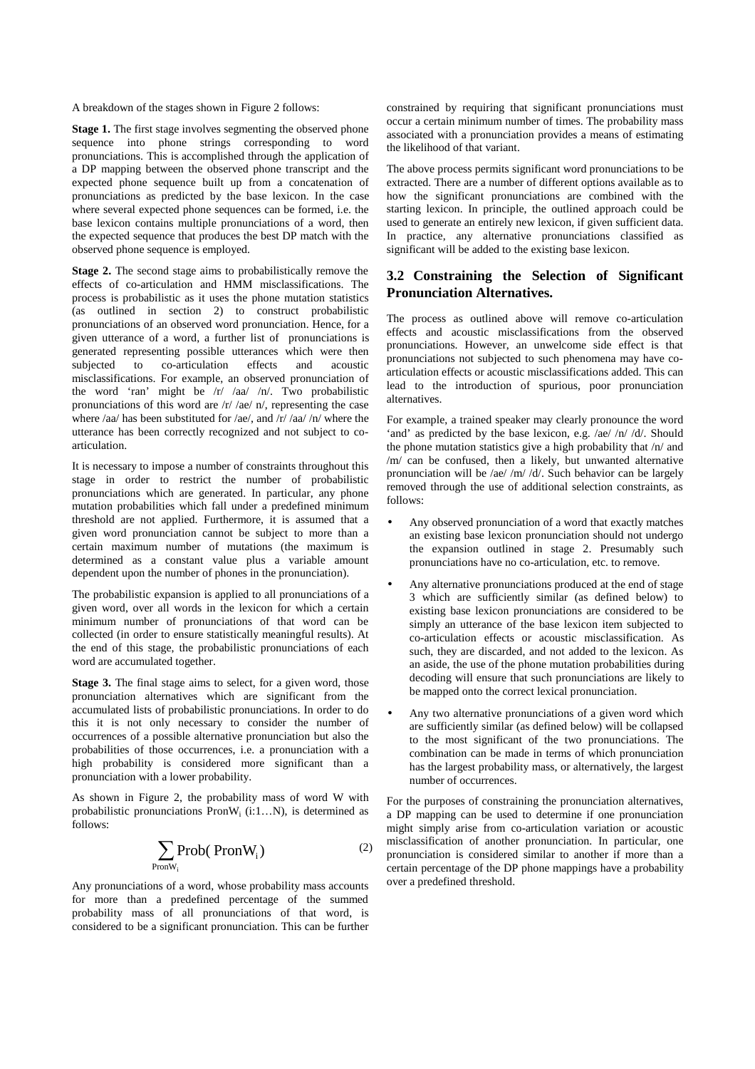A breakdown of the stages shown in Figure 2 follows:

**Stage 1.** The first stage involves segmenting the observed phone sequence into phone strings corresponding to word pronunciations. This is accomplished through the application of a DP mapping between the observed phone transcript and the expected phone sequence built up from a concatenation of pronunciations as predicted by the base lexicon. In the case where several expected phone sequences can be formed, i.e. the base lexicon contains multiple pronunciations of a word, then the expected sequence that produces the best DP match with the observed phone sequence is employed.

**Stage 2.** The second stage aims to probabilistically remove the effects of co-articulation and HMM misclassifications. The process is probabilistic as it uses the phone mutation statistics (as outlined in section 2) to construct probabilistic pronunciations of an observed word pronunciation. Hence, for a given utterance of a word, a further list of pronunciations is generated representing possible utterances which were then subjected to co-articulation effects and acoustic misclassifications. For example, an observed pronunciation of the word 'ran' might be /r/ /aa/ /n/. Two probabilistic pronunciations of this word are /r/ /ae/ n/, representing the case where /aa/ has been substituted for /ae/, and /r/ /aa/ /n/ where the utterance has been correctly recognized and not subject to coarticulation.

It is necessary to impose a number of constraints throughout this stage in order to restrict the number of probabilistic pronunciations which are generated. In particular, any phone mutation probabilities which fall under a predefined minimum threshold are not applied. Furthermore, it is assumed that a given word pronunciation cannot be subject to more than a certain maximum number of mutations (the maximum is determined as a constant value plus a variable amount dependent upon the number of phones in the pronunciation).

The probabilistic expansion is applied to all pronunciations of a given word, over all words in the lexicon for which a certain minimum number of pronunciations of that word can be collected (in order to ensure statistically meaningful results). At the end of this stage, the probabilistic pronunciations of each word are accumulated together.

**Stage 3.** The final stage aims to select, for a given word, those pronunciation alternatives which are significant from the accumulated lists of probabilistic pronunciations. In order to do this it is not only necessary to consider the number of occurrences of a possible alternative pronunciation but also the probabilities of those occurrences, i.e. a pronunciation with a high probability is considered more significant than a pronunciation with a lower probability.

As shown in Figure 2, the probability mass of word W with probabilistic pronunciations  $PronW_i$  (i:1...N), is determined as follows:

$$
\sum_{\text{PronW}_i} \text{Prob}(\text{PronW}_i) \tag{2}
$$

Any pronunciations of a word, whose probability mass accounts for more than a predefined percentage of the summed probability mass of all pronunciations of that word, is considered to be a significant pronunciation. This can be further constrained by requiring that significant pronunciations must occur a certain minimum number of times. The probability mass associated with a pronunciation provides a means of estimating the likelihood of that variant.

The above process permits significant word pronunciations to be extracted. There are a number of different options available as to how the significant pronunciations are combined with the starting lexicon. In principle, the outlined approach could be used to generate an entirely new lexicon, if given sufficient data. In practice, any alternative pronunciations classified as significant will be added to the existing base lexicon.

#### **3.2 Constraining the Selection of Significant Pronunciation Alternatives.**

The process as outlined above will remove co-articulation effects and acoustic misclassifications from the observed pronunciations. However, an unwelcome side effect is that pronunciations not subjected to such phenomena may have coarticulation effects or acoustic misclassifications added. This can lead to the introduction of spurious, poor pronunciation alternatives.

For example, a trained speaker may clearly pronounce the word 'and' as predicted by the base lexicon, e.g. /ae/ /n/ /d/. Should the phone mutation statistics give a high probability that /n/ and /m/ can be confused, then a likely, but unwanted alternative pronunciation will be /ae/ /m/ /d/. Such behavior can be largely removed through the use of additional selection constraints, as follows:

- Any observed pronunciation of a word that exactly matches an existing base lexicon pronunciation should not undergo the expansion outlined in stage 2. Presumably such pronunciations have no co-articulation, etc. to remove.
- Any alternative pronunciations produced at the end of stage 3 which are sufficiently similar (as defined below) to existing base lexicon pronunciations are considered to be simply an utterance of the base lexicon item subjected to co-articulation effects or acoustic misclassification. As such, they are discarded, and not added to the lexicon. As an aside, the use of the phone mutation probabilities during decoding will ensure that such pronunciations are likely to be mapped onto the correct lexical pronunciation.
- Any two alternative pronunciations of a given word which are sufficiently similar (as defined below) will be collapsed to the most significant of the two pronunciations. The combination can be made in terms of which pronunciation has the largest probability mass, or alternatively, the largest number of occurrences.

For the purposes of constraining the pronunciation alternatives, a DP mapping can be used to determine if one pronunciation might simply arise from co-articulation variation or acoustic misclassification of another pronunciation. In particular, one pronunciation is considered similar to another if more than a certain percentage of the DP phone mappings have a probability over a predefined threshold.